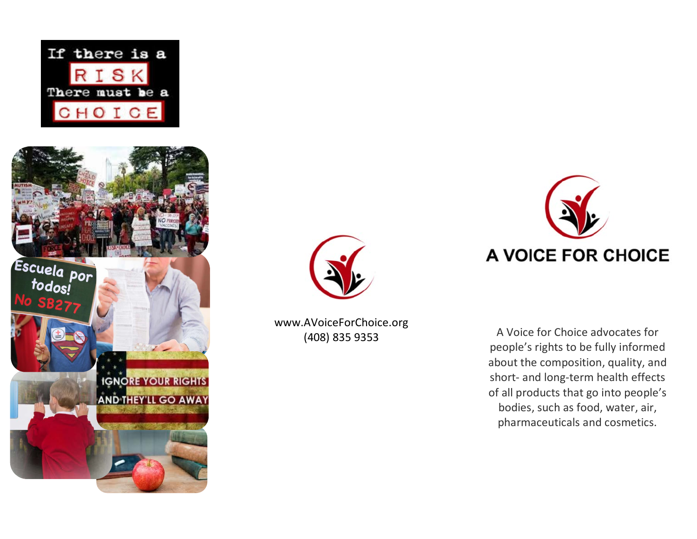





www.AVoiceForChoice .org



(408) 835 9353 A Voice for Choice advocates for people's rights to be fully informed about the composition, quality, and short - and long -term health effects of all products that go into people's bodies, such as food, water, air, pharmaceuticals and cosmetics .